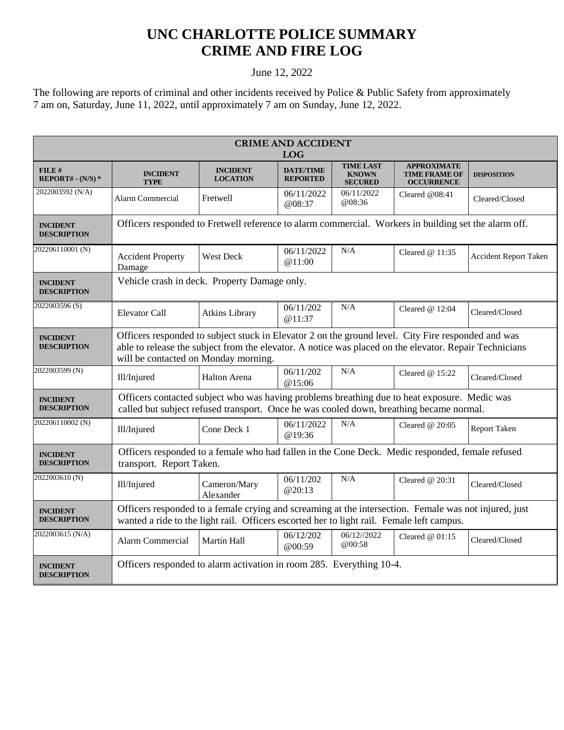## **UNC CHARLOTTE POLICE SUMMARY CRIME AND FIRE LOG**

## June 12, 2022

The following are reports of criminal and other incidents received by Police & Public Safety from approximately 7 am on, Saturday, June 11, 2022, until approximately 7 am on Sunday, June 12, 2022.

| <b>CRIME AND ACCIDENT</b><br><b>LOG</b> |                                                                                                                                                                                                                                                      |                                    |                                     |                                                    |                                                                 |                              |  |
|-----------------------------------------|------------------------------------------------------------------------------------------------------------------------------------------------------------------------------------------------------------------------------------------------------|------------------------------------|-------------------------------------|----------------------------------------------------|-----------------------------------------------------------------|------------------------------|--|
| FILE#<br>$REPORT# - (N/S) *$            | <b>INCIDENT</b><br><b>TYPE</b>                                                                                                                                                                                                                       | <b>INCIDENT</b><br><b>LOCATION</b> | <b>DATE/TIME</b><br><b>REPORTED</b> | <b>TIME LAST</b><br><b>KNOWN</b><br><b>SECURED</b> | <b>APPROXIMATE</b><br><b>TIME FRAME OF</b><br><b>OCCURRENCE</b> | <b>DISPOSITION</b>           |  |
| 2022003592 (N/A)                        | Alarm Commercial                                                                                                                                                                                                                                     | Fretwell                           | 06/11/2022<br>@08:37                | 06/11/2022<br>@08:36                               | Cleared @08:41                                                  | Cleared/Closed               |  |
| <b>INCIDENT</b><br><b>DESCRIPTION</b>   | Officers responded to Fretwell reference to alarm commercial. Workers in building set the alarm off.                                                                                                                                                 |                                    |                                     |                                                    |                                                                 |                              |  |
| 202206110001 (N)                        | <b>Accident Property</b><br>Damage                                                                                                                                                                                                                   | <b>West Deck</b>                   | 06/11/2022<br>@11:00                | N/A                                                | Cleared $@11:35$                                                | <b>Accident Report Taken</b> |  |
| <b>INCIDENT</b><br><b>DESCRIPTION</b>   | Vehicle crash in deck. Property Damage only.                                                                                                                                                                                                         |                                    |                                     |                                                    |                                                                 |                              |  |
| 2022003596(S)                           | Elevator Call                                                                                                                                                                                                                                        | <b>Atkins Library</b>              | 06/11/202<br>@11:37                 | N/A                                                | Cleared $@12:04$                                                | Cleared/Closed               |  |
| <b>INCIDENT</b><br><b>DESCRIPTION</b>   | Officers responded to subject stuck in Elevator 2 on the ground level. City Fire responded and was<br>able to release the subject from the elevator. A notice was placed on the elevator. Repair Technicians<br>will be contacted on Monday morning. |                                    |                                     |                                                    |                                                                 |                              |  |
| 2022003599 (N)                          | Ill/Injured                                                                                                                                                                                                                                          | Halton Arena                       | 06/11/202<br>@15:06                 | N/A                                                | Cleared $@15:22$                                                | Cleared/Closed               |  |
| <b>INCIDENT</b><br><b>DESCRIPTION</b>   | Officers contacted subject who was having problems breathing due to heat exposure. Medic was<br>called but subject refused transport. Once he was cooled down, breathing became normal.                                                              |                                    |                                     |                                                    |                                                                 |                              |  |
| 202206110002 (N)                        | Ill/Injured                                                                                                                                                                                                                                          | Cone Deck 1                        | 06/11/2022<br>@19:36                | N/A                                                | Cleared $@20:05$                                                | Report Taken                 |  |
| <b>INCIDENT</b><br><b>DESCRIPTION</b>   | Officers responded to a female who had fallen in the Cone Deck. Medic responded, female refused<br>transport. Report Taken.                                                                                                                          |                                    |                                     |                                                    |                                                                 |                              |  |
| 2022003610 (N)                          | Ill/Injured                                                                                                                                                                                                                                          | Cameron/Mary<br>Alexander          | 06/11/202<br>@20:13                 | N/A                                                | Cleared $@20:31$                                                | Cleared/Closed               |  |
| <b>INCIDENT</b><br><b>DESCRIPTION</b>   | Officers responded to a female crying and screaming at the intersection. Female was not injured, just<br>wanted a ride to the light rail. Officers escorted her to light rail. Female left campus.                                                   |                                    |                                     |                                                    |                                                                 |                              |  |
| 2022003615 (N/A)                        | Alarm Commercial                                                                                                                                                                                                                                     | Martin Hall                        | 06/12/202<br>@00:59                 | 06/12//2022<br>@00:58                              | Cleared $@01:15$                                                | Cleared/Closed               |  |
| <b>INCIDENT</b><br><b>DESCRIPTION</b>   | Officers responded to alarm activation in room 285. Everything 10-4.                                                                                                                                                                                 |                                    |                                     |                                                    |                                                                 |                              |  |